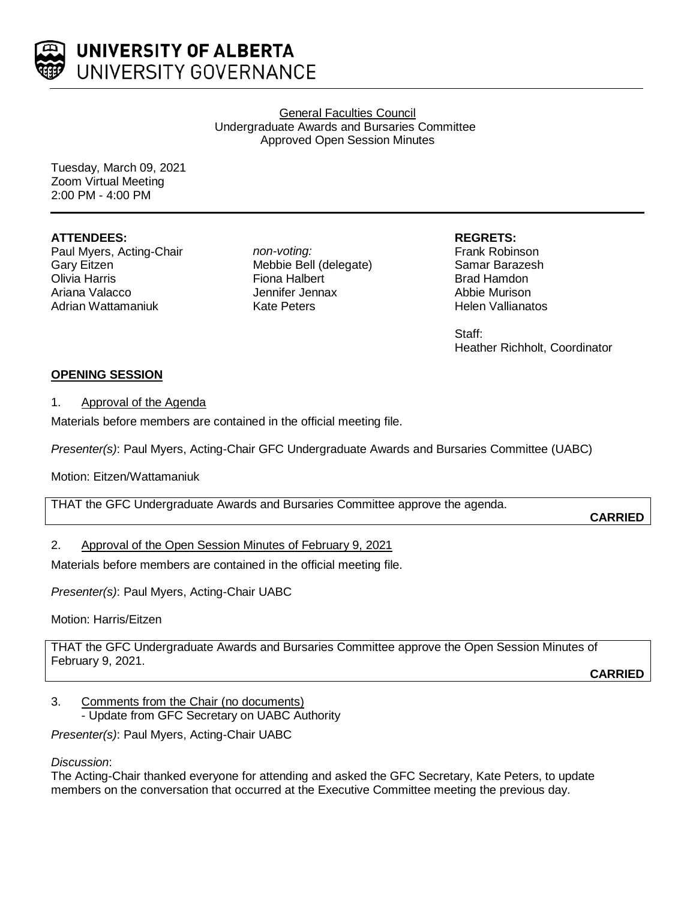

General Faculties Council Undergraduate Awards and Bursaries Committee Approved Open Session Minutes

Tuesday, March 09, 2021 Zoom Virtual Meeting 2:00 PM - 4:00 PM

## **ATTENDEES:**

Paul Myers, Acting-Chair Gary Eitzen Olivia Harris Ariana Valacco Adrian Wattamaniuk

*non-voting:* Mebbie Bell (delegate) Fiona Halbert Jennifer Jennax Kate Peters

**REGRETS:**

Frank Robinson Samar Barazesh Brad Hamdon Abbie Murison Helen Vallianatos

Staff: Heather Richholt, Coordinator

# **OPENING SESSION**

## 1. Approval of the Agenda

Materials before members are contained in the official meeting file.

*Presenter(s)*: Paul Myers, Acting-Chair GFC Undergraduate Awards and Bursaries Committee (UABC)

Motion: Eitzen/Wattamaniuk

THAT the GFC Undergraduate Awards and Bursaries Committee approve the agenda.

**CARRIED**

# 2. Approval of the Open Session Minutes of February 9, 2021

Materials before members are contained in the official meeting file.

*Presenter(s)*: Paul Myers, Acting-Chair UABC

Motion: Harris/Eitzen

THAT the GFC Undergraduate Awards and Bursaries Committee approve the Open Session Minutes of February 9, 2021.

**CARRIED**

3. Comments from the Chair (no documents) - Update from GFC Secretary on UABC Authority

*Presenter(s)*: Paul Myers, Acting-Chair UABC

# *Discussion*:

The Acting-Chair thanked everyone for attending and asked the GFC Secretary, Kate Peters, to update members on the conversation that occurred at the Executive Committee meeting the previous day.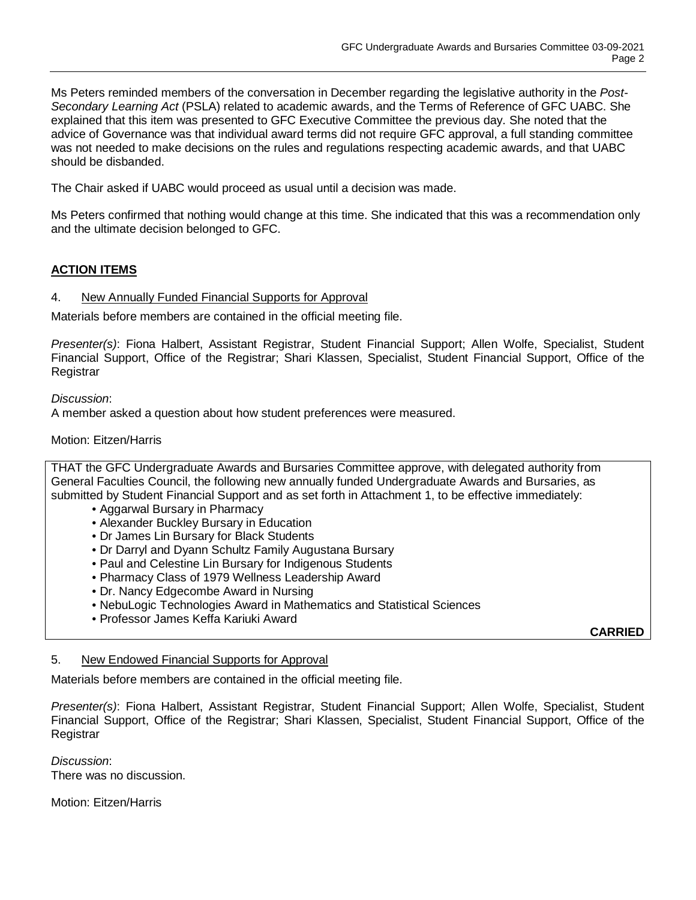Ms Peters reminded members of the conversation in December regarding the legislative authority in the *Post-Secondary Learning Act* (PSLA) related to academic awards, and the Terms of Reference of GFC UABC. She explained that this item was presented to GFC Executive Committee the previous day. She noted that the advice of Governance was that individual award terms did not require GFC approval, a full standing committee was not needed to make decisions on the rules and regulations respecting academic awards, and that UABC should be disbanded.

The Chair asked if UABC would proceed as usual until a decision was made.

Ms Peters confirmed that nothing would change at this time. She indicated that this was a recommendation only and the ultimate decision belonged to GFC.

# **ACTION ITEMS**

## 4. New Annually Funded Financial Supports for Approval

Materials before members are contained in the official meeting file.

*Presenter(s)*: Fiona Halbert, Assistant Registrar, Student Financial Support; Allen Wolfe, Specialist, Student Financial Support, Office of the Registrar; Shari Klassen, Specialist, Student Financial Support, Office of the Registrar

### *Discussion*:

A member asked a question about how student preferences were measured.

### Motion: Eitzen/Harris

THAT the GFC Undergraduate Awards and Bursaries Committee approve, with delegated authority from General Faculties Council, the following new annually funded Undergraduate Awards and Bursaries, as submitted by Student Financial Support and as set forth in Attachment 1, to be effective immediately:

- Aggarwal Bursary in Pharmacy
- Alexander Buckley Bursary in Education
- Dr James Lin Bursary for Black Students
- Dr Darryl and Dyann Schultz Family Augustana Bursary
- Paul and Celestine Lin Bursary for Indigenous Students
- Pharmacy Class of 1979 Wellness Leadership Award
- Dr. Nancy Edgecombe Award in Nursing
- NebuLogic Technologies Award in Mathematics and Statistical Sciences
- Professor James Keffa Kariuki Award

**CARRIED**

#### 5. New Endowed Financial Supports for Approval

Materials before members are contained in the official meeting file.

*Presenter(s)*: Fiona Halbert, Assistant Registrar, Student Financial Support; Allen Wolfe, Specialist, Student Financial Support, Office of the Registrar; Shari Klassen, Specialist, Student Financial Support, Office of the Registrar

*Discussion*: There was no discussion.

Motion: Eitzen/Harris